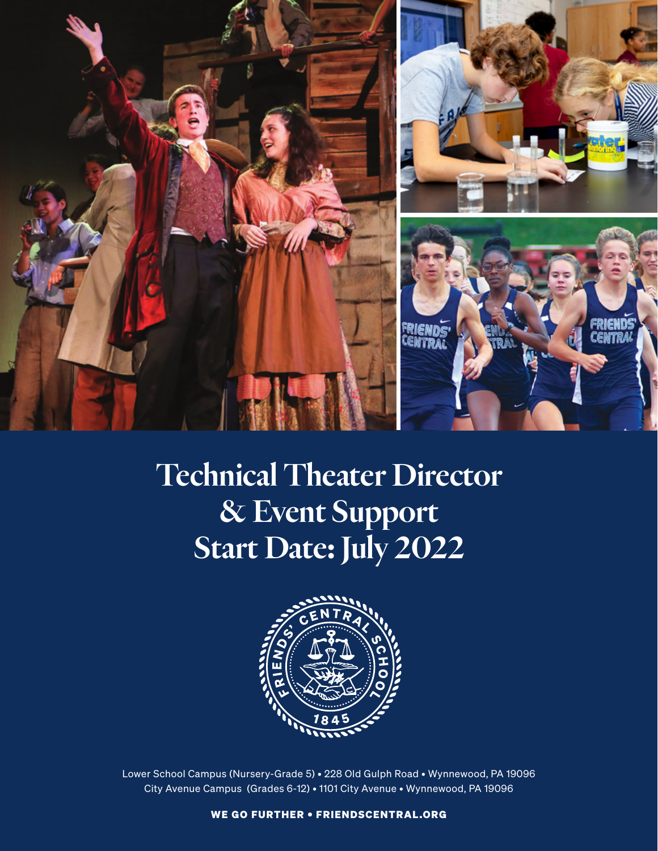

# Technical Theater Director & Event Support Start Date: July 2022



Lower School Campus (Nursery-Grade 5) • 228 Old Gulph Road • Wynnewood, PA 19096 City Avenue Campus (Grades 6-12) • 1101 City Avenue • Wynnewood, PA 19096

WE GO FURTHER • FRIENDSCENTRAL.ORG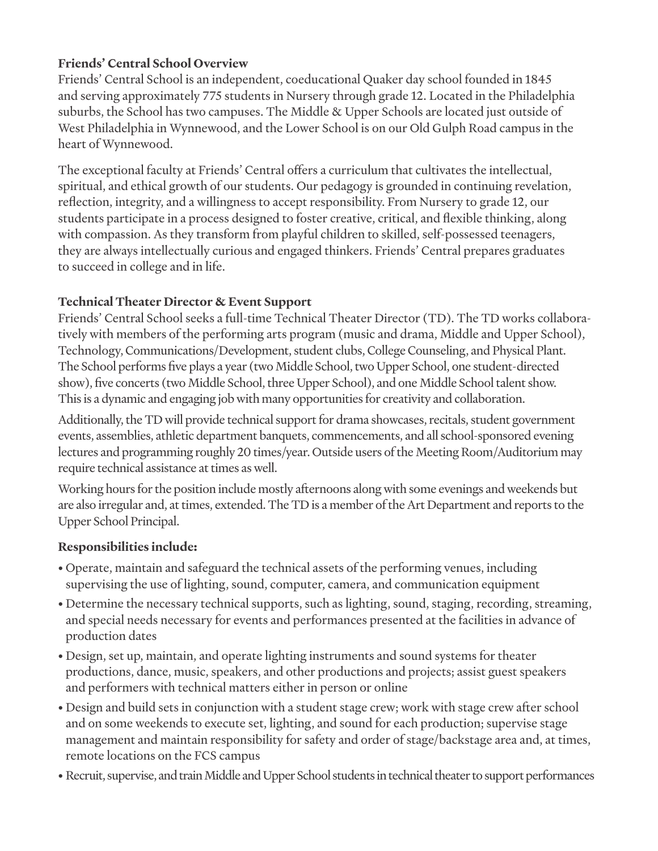### **Friends' Central School Overview**

Friends' Central School is an independent, coeducational Quaker day school founded in 1845 and serving approximately 775 students in Nursery through grade 12. Located in the Philadelphia suburbs, the School has two campuses. The Middle & Upper Schools are located just outside of West Philadelphia in Wynnewood, and the Lower School is on our Old Gulph Road campus in the heart of Wynnewood.

The exceptional faculty at Friends' Central offers a curriculum that cultivates the intellectual, spiritual, and ethical growth of our students. Our pedagogy is grounded in continuing revelation, reflection, integrity, and a willingness to accept responsibility. From Nursery to grade 12, our students participate in a process designed to foster creative, critical, and flexible thinking, along with compassion. As they transform from playful children to skilled, self-possessed teenagers, they are always intellectually curious and engaged thinkers. Friends' Central prepares graduates to succeed in college and in life.

## **Technical Theater Director & Event Support**

Friends' Central School seeks a full-time Technical Theater Director (TD). The TD works collaboratively with members of the performing arts program (music and drama, Middle and Upper School), Technology, Communications/Development, student clubs, College Counseling, and Physical Plant. The School performs five plays a year (two Middle School, two Upper School, one student-directed show), five concerts (two Middle School, three Upper School), and one Middle School talent show. This is a dynamic and engaging job with many opportunities for creativity and collaboration.

Additionally, the TD will provide technical support for drama showcases, recitals, student government events, assemblies, athletic department banquets, commencements, and all school-sponsored evening lectures and programming roughly 20 times/year. Outside users of the Meeting Room/Auditorium may require technical assistance at times as well.

Working hours for the position include mostly afternoons along with some evenings and weekends but are also irregular and, at times, extended. The TD is a member of the Art Department and reports to the Upper School Principal.

## **Responsibilities include:**

- Operate, maintain and safeguard the technical assets of the performing venues, including supervising the use of lighting, sound, computer, camera, and communication equipment
- Determine the necessary technical supports, such as lighting, sound, staging, recording, streaming, and special needs necessary for events and performances presented at the facilities in advance of production dates
- Design, set up, maintain, and operate lighting instruments and sound systems for theater productions, dance, music, speakers, and other productions and projects; assist guest speakers and performers with technical matters either in person or online
- Design and build sets in conjunction with a student stage crew; work with stage crew after school and on some weekends to execute set, lighting, and sound for each production; supervise stage management and maintain responsibility for safety and order of stage/backstage area and, at times, remote locations on the FCS campus
- Recruit, supervise, and train Middle and Upper School students in technical theater to support performances